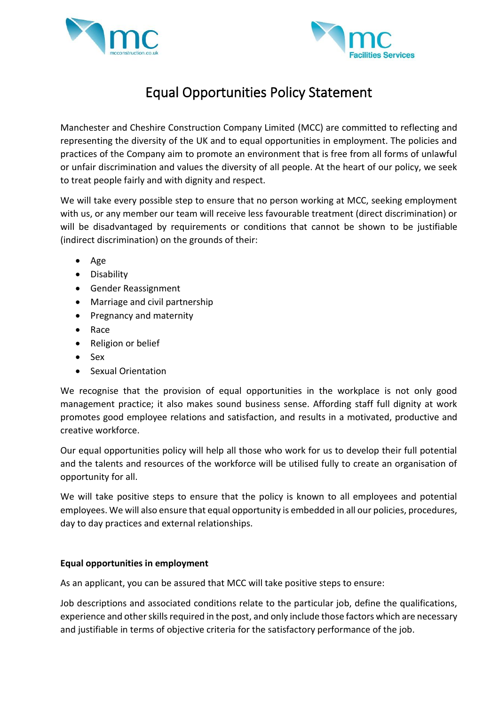



## Equal Opportunities Policy Statement

Manchester and Cheshire Construction Company Limited (MCC) are committed to reflecting and representing the diversity of the UK and to equal opportunities in employment. The policies and practices of the Company aim to promote an environment that is free from all forms of unlawful or unfair discrimination and values the diversity of all people. At the heart of our policy, we seek to treat people fairly and with dignity and respect.

We will take every possible step to ensure that no person working at MCC, seeking employment with us, or any member our team will receive less favourable treatment (direct discrimination) or will be disadvantaged by requirements or conditions that cannot be shown to be justifiable (indirect discrimination) on the grounds of their:

- Age
- Disability
- Gender Reassignment
- Marriage and civil partnership
- Pregnancy and maternity
- Race
- Religion or belief
- Sex
- Sexual Orientation

We recognise that the provision of equal opportunities in the workplace is not only good management practice; it also makes sound business sense. Affording staff full dignity at work promotes good employee relations and satisfaction, and results in a motivated, productive and creative workforce.

Our equal opportunities policy will help all those who work for us to develop their full potential and the talents and resources of the workforce will be utilised fully to create an organisation of opportunity for all.

We will take positive steps to ensure that the policy is known to all employees and potential employees. We will also ensure that equal opportunity is embedded in all our policies, procedures, day to day practices and external relationships.

## **Equal opportunities in employment**

As an applicant, you can be assured that MCC will take positive steps to ensure:

Job descriptions and associated conditions relate to the particular job, define the qualifications, experience and other skills required in the post, and only include those factors which are necessary and justifiable in terms of objective criteria for the satisfactory performance of the job.